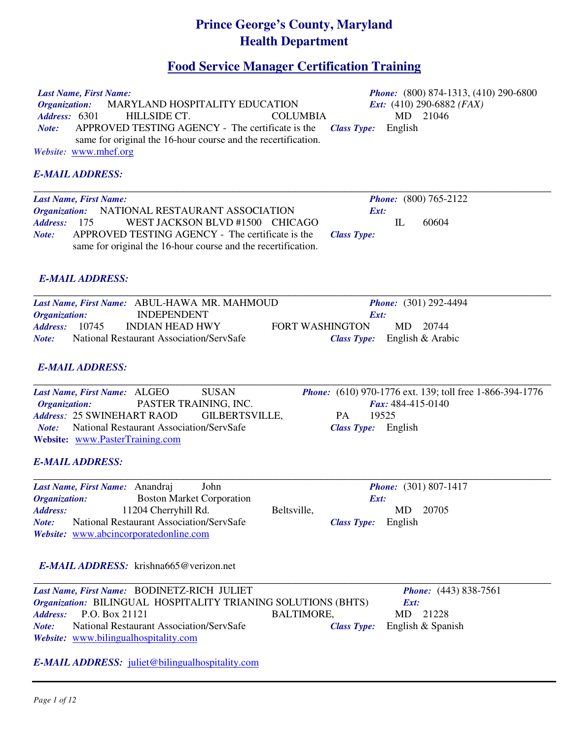# **Prince George's County, Maryland Health Department**

# **Food Service Manager Certification Training**

| Last Name, First Name:<br>MARYLAND HOSPITALITY EDUCATION<br><b>Organization:</b><br>Address: 6301<br>HILLSIDE CT.<br><b>COLUMBIA</b><br>APPROVED TESTING AGENCY - The certificate is the<br>Note:<br>same for original the 16-hour course and the recertification.<br>Website: www.mhef.org | <i>Phone:</i> (800) 874-1313, (410) 290-6800<br><i>Ext:</i> $(410)$ 290-6882 ( <i>FAX</i> )<br>MD 21046<br>English<br><b>Class Type:</b> |
|---------------------------------------------------------------------------------------------------------------------------------------------------------------------------------------------------------------------------------------------------------------------------------------------|------------------------------------------------------------------------------------------------------------------------------------------|
| <b>E-MAIL ADDRESS:</b>                                                                                                                                                                                                                                                                      |                                                                                                                                          |
| Last Name, First Name:<br>NATIONAL RESTAURANT ASSOCIATION<br><b>Organization:</b><br><b>Address:</b><br>175<br>WEST JACKSON BLVD #1500 CHICAGO<br>APPROVED TESTING AGENCY - The certificate is the<br>Note:<br>same for original the 16-hour course and the recertification.                | <b>Phone:</b> (800) 765-2122<br>Ext:<br>IL<br>60604<br><b>Class Type:</b>                                                                |
| <b>E-MAIL ADDRESS:</b>                                                                                                                                                                                                                                                                      |                                                                                                                                          |
| Last Name, First Name: ABUL-HAWA MR. MAHMOUD<br><b>INDEPENDENT</b><br>Organization:<br>10745<br><b>INDIAN HEAD HWY</b><br><b>Address:</b><br>National Restaurant Association/ServSafe<br>Note:<br><b>E-MAIL ADDRESS:</b>                                                                    | <i>Phone:</i> (301) 292-4494<br>Ext:<br>MD<br>20744<br><b>FORT WASHINGTON</b><br>Class Type: English & Arabic                            |
| <b>SUSAN</b><br>Last Name, First Name: ALGEO<br>PASTER TRAINING, INC.<br>Organization:<br>Address: 25 SWINEHART RAOD<br><b>GILBERTSVILLE,</b><br>National Restaurant Association/ServSafe<br>Note:<br>Website: www.PasterTraining.com                                                       | <i>Phone:</i> (610) 970-1776 ext. 139; toll free 1-866-394-1776<br>Fax: 484-415-0140<br>19525<br><b>PA</b><br>Class Type: English        |
| <b>E-MAIL ADDRESS:</b>                                                                                                                                                                                                                                                                      |                                                                                                                                          |
| John<br>Last Name, First Name: Anandraj<br><b>Boston Market Corporation</b><br>Organization:<br>11204 Cherryhill Rd.<br><b>Address:</b><br>Beltsville,<br>National Restaurant Association/ServSafe<br>Note:<br>Website: www.abcincorporatedonline.com                                       | <i>Phone:</i> (301) 807-1417<br>Ext:<br>20705<br>MD.<br>English<br><b>Class Type:</b>                                                    |
| <b>E-MAIL ADDRESS:</b> krishna665@verizon.net                                                                                                                                                                                                                                               |                                                                                                                                          |
| Last Name, First Name: BODINETZ-RICH JULIET<br>Organization: BILINGUAL HOSPITALITY TRIANING SOLUTIONS (BHTS)<br>P.O. Box 21121<br><b>Address:</b><br><b>BALTIMORE,</b><br>National Restaurant Association/ServSafe<br>Note:<br>Website: www.bilingualhospitality.com                        | <i>Phone:</i> (443) 838-7561<br>Ext:<br>MD<br>21228<br>English & Spanish<br><b>Class Type:</b>                                           |

*E-MAIL ADDRESS:* juliet@bilingualhospitality.com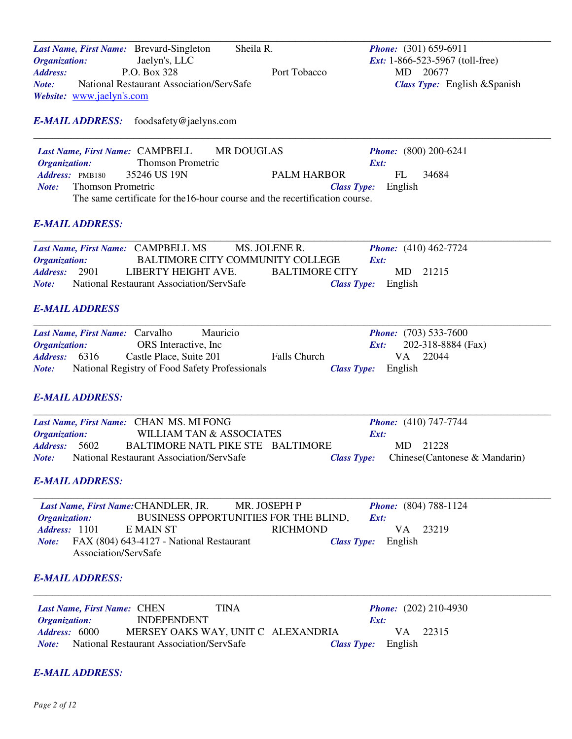|                             | Last Name, First Name: Brevard-Singleton | Sheila R.    | <i>Phone:</i> $(301) 659-6911$           |
|-----------------------------|------------------------------------------|--------------|------------------------------------------|
| <i><b>Organization:</b></i> | Jaelyn's, LLC                            |              | <i>Ext:</i> $1-866-523-5967$ (toll-free) |
| Address:                    | P.O. Box 328                             | Port Tobacco | 20677<br>MD.                             |
| Note:                       | National Restaurant Association/ServSafe |              | <i>Class Type:</i> English & Spanish     |
|                             | <i>Website:</i> www.jaelyn's.com         |              |                                          |

# *E-MAIL ADDRESS:* foodsafety@jaelyns.com

|                                                                             | Last Name, First Name: CAMPBELL MR DOUGLAS |  |                            |     | <b>Phone:</b> $(800) 200-6241$ |  |
|-----------------------------------------------------------------------------|--------------------------------------------|--|----------------------------|-----|--------------------------------|--|
| <i><b>Organization:</b></i>                                                 | <b>Thomson Prometric</b>                   |  | Ext:                       |     |                                |  |
| <b>Address:</b> PMB180 35246 US 19N                                         |                                            |  | PALM HARBOR                | FL. | 34684                          |  |
| <i>Note:</i> Thomson Prometric                                              |                                            |  | <i>Class Type:</i> English |     |                                |  |
| The same certificate for the 16-hour course and the recertification course. |                                            |  |                            |     |                                |  |

#### *E-MAIL ADDRESS:*

|                             | Last Name, First Name: CAMPBELL MS       | MS. JOLENE R.                    | <b>Phone:</b> $(410)$ 462-7724 |
|-----------------------------|------------------------------------------|----------------------------------|--------------------------------|
| <i><b>Organization:</b></i> |                                          | BALTIMORE CITY COMMUNITY COLLEGE | Ext:                           |
| <b>Address:</b> 2901        | LIBERTY HEIGHT AVE.                      | <b>BALTIMORE CITY</b>            | MD 21215                       |
| Note:                       | National Restaurant Association/ServSafe |                                  | <i>Class Type:</i> English     |

# *E-MAIL ADDRESS*

|                             | <b>Last Name, First Name: Carvalho</b>         | <b>Mauricio</b> |                     |                            |     | <b>Phone:</b> $(703)$ 533-7600 |  |
|-----------------------------|------------------------------------------------|-----------------|---------------------|----------------------------|-----|--------------------------------|--|
| <i><b>Organization:</b></i> | ORS Interactive, Inc.                          |                 |                     | Ext:                       |     | 202-318-8884 (Fax)             |  |
| <b>Address:</b> 6316        | Castle Place, Suite 201                        |                 | <b>Falls Church</b> |                            | V A | 22044                          |  |
| Note:                       | National Registry of Food Safety Professionals |                 |                     | <b>Class Type:</b> English |     |                                |  |

### *E-MAIL ADDRESS:*

|                             | Last Name, First Name: CHAN MS. MI FONG  |      | <b>Phone:</b> $(410)$ 747-7744                    |  |
|-----------------------------|------------------------------------------|------|---------------------------------------------------|--|
| <i><b>Organization:</b></i> | WILLIAM TAN & ASSOCIATES                 | Ext: |                                                   |  |
| Address: 5602               | BALTIMORE NATL PIKE STE BALTIMORE        |      | MD 21228                                          |  |
| Note:                       | National Restaurant Association/ServSafe |      | <b>Class Type:</b> Chinese (Cantonese & Mandarin) |  |

### *E-MAIL ADDRESS:*

|                             | Last Name, First Name: CHANDLER, JR.     | MR. JOSEPH P                          | <b>Phone:</b> (804) 788-1124 |  |
|-----------------------------|------------------------------------------|---------------------------------------|------------------------------|--|
| <i><b>Organization:</b></i> |                                          | BUSINESS OPPORTUNITIES FOR THE BLIND, | Ext:                         |  |
| <b>Address:</b> 1101        | E MAIN ST                                | <b>RICHMOND</b>                       | VA 23219                     |  |
| Note:                       | FAX (804) 643-4127 - National Restaurant |                                       | <i>Class Type:</i> English   |  |
|                             | Association/ServSafe                     |                                       |                              |  |

#### *E-MAIL ADDRESS:*

| Last Name, First Name: CHEN | TINA                                                  | <b>Phone:</b> $(202)$ 210-4930 |          |
|-----------------------------|-------------------------------------------------------|--------------------------------|----------|
| <i><b>Organization:</b></i> | <b>INDEPENDENT</b>                                    | Ext:                           |          |
| <b>Address: 6000</b>        | MERSEY OAKS WAY, UNIT C ALEXANDRIA                    |                                | VA 22315 |
|                             | <i>Note:</i> National Restaurant Association/ServSafe | <b>Class Type:</b> English     |          |

# *E-MAIL ADDRESS:*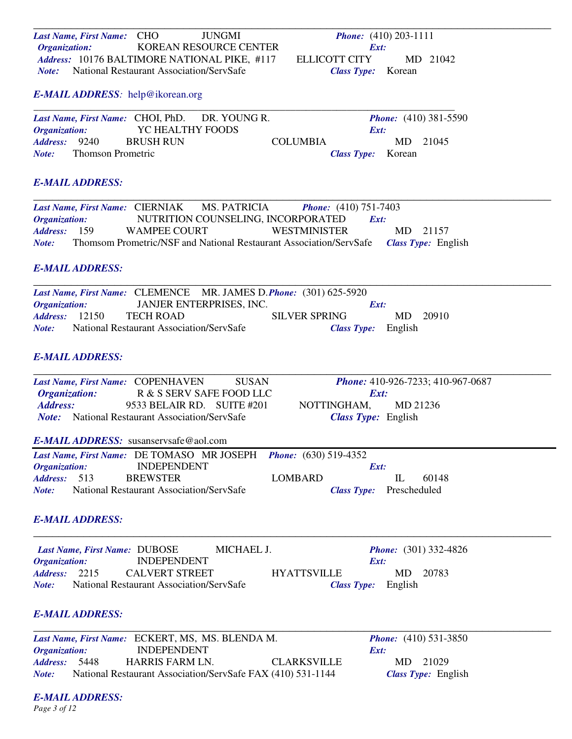\_\_\_\_\_\_\_\_\_\_\_\_\_\_\_\_\_\_\_\_\_\_\_\_\_\_\_\_\_\_\_\_\_\_\_\_\_\_\_\_\_\_\_\_\_\_\_\_\_\_\_\_\_\_\_\_\_\_\_\_\_\_\_\_\_\_\_\_\_\_\_\_\_\_\_\_\_\_\_\_\_\_\_ *Last Name, First Name:* CHO JUNGMI *Phone:* (410) 203-1111 *Organization:*<br> *Address:* 10176 BALTIMORE NATIONAL PIKE, #117 ELLICOTT CITY *Address:* 10176 BALTIMORE NATIONAL PIKE, #117 ELLICOTT CITY MD 21042 *Note:* National Restaurant Association/ServSafe *Class Type:* Korean

### *E-MAIL ADDRESS:* help@ikorean.org

|                             |                   |                  | Last Name, First Name: CHOI, PhD. DR. YOUNG R. |                 |                           | <b>Phone:</b> $(410)$ 381-5590 |
|-----------------------------|-------------------|------------------|------------------------------------------------|-----------------|---------------------------|--------------------------------|
| <i><b>Organization:</b></i> |                   | YC HEALTHY FOODS |                                                |                 | Ext:                      |                                |
| <b>Address:</b> 9240        |                   | BRUSH RUN        |                                                | <b>COLUMBIA</b> |                           | MD 21045                       |
| Note:                       | Thomson Prometric |                  |                                                |                 | <i>Class Type:</i> Korean |                                |

### *E-MAIL ADDRESS:*

|                             | <b>Last Name, First Name: CIERNIAK</b> | <b>MS. PATRICIA</b>                                                | <b>Phone:</b> $(410)$ 751-7403 |      |                            |  |
|-----------------------------|----------------------------------------|--------------------------------------------------------------------|--------------------------------|------|----------------------------|--|
| <i><b>Organization:</b></i> |                                        | NUTRITION COUNSELING, INCORPORATED                                 |                                | Ext: |                            |  |
| <i>Address:</i> 159         | WAMPEE COURT                           |                                                                    | WESTMINISTER                   |      | MD 21157                   |  |
| Note:                       |                                        | Thomsom Prometric/NSF and National Restaurant Association/ServSafe |                                |      | <i>Class Type:</i> English |  |

## *E-MAIL ADDRESS:*

|                             |                                          | Last Name, First Name: CLEMENCE MR. JAMES D. Phone: (301) 625-5920 |                      |                            |       |
|-----------------------------|------------------------------------------|--------------------------------------------------------------------|----------------------|----------------------------|-------|
| <i><b>Organization:</b></i> |                                          | JANJER ENTERPRISES, INC.                                           |                      | Ext:                       |       |
| <b>Address:</b> 12150       | TECH ROAD                                |                                                                    | <b>SILVER SPRING</b> | MD.                        | 20910 |
| Note:                       | National Restaurant Association/ServSafe |                                                                    |                      | <i>Class Type:</i> English |       |

### *E-MAIL ADDRESS:*

| Last Name, First Name: COPENHAVEN                     |                                          | <b>SUSAN</b> |                                | <b>Phone:</b> 410-926-7233; 410-967-0687 |
|-------------------------------------------------------|------------------------------------------|--------------|--------------------------------|------------------------------------------|
| <b>Organization:</b>                                  | R & S SERV SAFE FOOD LLC                 |              |                                | Ext:                                     |
| Address:                                              | 9533 BELAIR RD. SUITE #201               |              | NOTTINGHAM,                    | MD 21236                                 |
| <i>Note:</i> National Restaurant Association/ServSafe |                                          |              |                                | <b>Class Type:</b> English               |
| <b>E-MAIL ADDRESS:</b> susanservsafe@aol.com          |                                          |              |                                |                                          |
| Last Name, First Name: DE TOMASO MR JOSEPH            |                                          |              | <b>Phone:</b> $(630)$ 519-4352 |                                          |
| Organization:                                         | <b>INDEPENDENT</b>                       |              |                                | Ext:                                     |
| Address: 513                                          | <b>BREWSTER</b>                          |              | LOMBARD                        | IL<br>60148                              |
| Note:                                                 | National Restaurant Association/ServSafe |              | <b>Class Type:</b>             | Prescheduled                             |
| <b>E-MAIL ADDRESS:</b>                                |                                          |              |                                |                                          |
| Last Name, First Name: DUBOSE                         |                                          | MICHAEL J.   |                                | <b>Phone:</b> $(301) 332-4826$           |
| <b>Organization:</b>                                  | <b>INDEPENDENT</b>                       |              |                                | Ext:                                     |
| Address: 2215                                         | <b>CALVERT STREET</b>                    |              | <b>HYATTSVILLE</b>             | 20783<br>MD.                             |
| Note:                                                 | National Restaurant Association/ServSafe |              | <b>Class Type:</b>             | English                                  |
|                                                       |                                          |              |                                |                                          |

# *E-MAIL ADDRESS:*

|                             | Last Name, First Name: ECKERT, MS, MS. BLENDA M.            |                    | <b>Phone:</b> $(410)$ 531-3850 |                            |
|-----------------------------|-------------------------------------------------------------|--------------------|--------------------------------|----------------------------|
| <i><b>Organization:</b></i> | <b>INDEPENDENT</b>                                          |                    | Ext:                           |                            |
| Address: 5448               | HARRIS FARM LN.                                             | <b>CLARKSVILLE</b> | MD 21029                       |                            |
| Note:                       | National Restaurant Association/ServSafe FAX (410) 531-1144 |                    |                                | <b>Class Type: English</b> |

*E-MAIL ADDRESS: Page 3 of 12*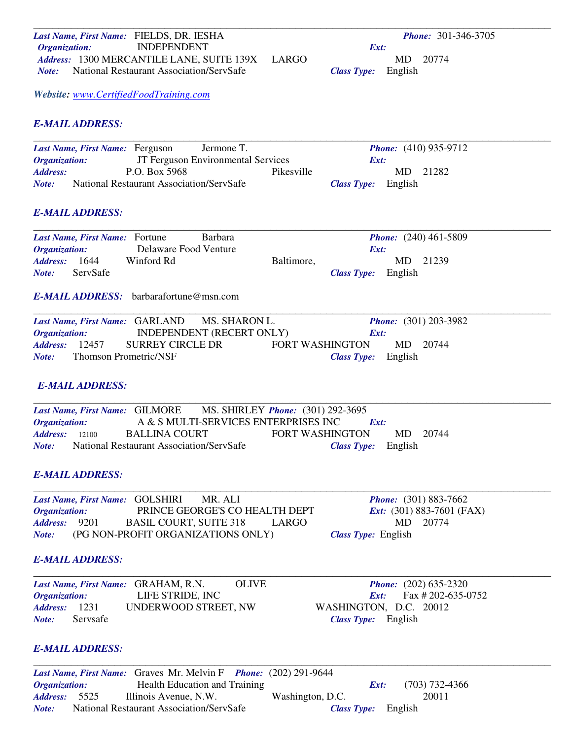| Last Name, First Name: FIELDS, DR. IESHA                     | <b>Phone: 301-346-3705</b>                |
|--------------------------------------------------------------|-------------------------------------------|
| <b>INDEPENDENT</b><br><b>Organization:</b>                   | Ext:                                      |
| Address: 1300 MERCANTILE LANE, SUITE 139X                    | <b>LARGO</b><br>MD 20774                  |
| National Restaurant Association/ServSafe<br>Note:            | English<br><b>Class Type:</b>             |
| Website: www.CertifiedFoodTraining.com                       |                                           |
| <b>E-MAIL ADDRESS:</b>                                       |                                           |
| Jermone T.<br>Last Name, First Name: Ferguson                | <b>Phone:</b> (410) 935-9712              |
| JT Ferguson Environmental Services<br><b>Organization:</b>   | Ext:                                      |
| P.O. Box 5968<br><b>Address:</b>                             | Pikesville<br>21282<br>MD                 |
| National Restaurant Association/ServSafe<br>Note:            | English<br><b>Class Type:</b>             |
| <b>E-MAIL ADDRESS:</b>                                       |                                           |
| Barbara<br>Last Name, First Name: Fortune                    | <i>Phone:</i> (240) 461-5809              |
| Delaware Food Venture<br><b>Organization:</b>                | Ext:                                      |
| 1644<br>Winford Rd<br>Address:                               | 21239<br>Baltimore,<br>MD                 |
| ServSafe<br>Note:                                            | English<br><b>Class Type:</b>             |
| <b>E-MAIL ADDRESS:</b> barbarafortune@msn.com                |                                           |
| MS. SHARON L.<br>Last Name, First Name: GARLAND              | <b>Phone:</b> (301) 203-3982              |
| INDEPENDENT (RECERT ONLY)<br><b>Organization:</b>            | Ext:                                      |
| <b>SURREY CIRCLE DR</b><br>Address:<br>12457                 | <b>FORT WASHINGTON</b><br>MD<br>20744     |
| <b>Thomson Prometric/NSF</b><br>Note:                        | English<br><b>Class Type:</b>             |
| <b>E-MAIL ADDRESS:</b>                                       |                                           |
| Last Name, First Name: GILMORE                               | MS. SHIRLEY <i>Phone</i> : (301) 292-3695 |
| A & S MULTI-SERVICES ENTERPRISES INC<br><b>Organization:</b> | Ext:                                      |
| <b>BALLINA COURT</b><br><b>Address:</b> 12100                | <b>FORT WASHINGTON</b><br>MD 20744        |
| <b>National Restaurant Association/ServSafe</b><br>Note:     | Class Type: English                       |
| <b>E-MAIL ADDRESS:</b>                                       |                                           |
| Last Name, First Name: GOLSHIRI<br>MR. ALI                   | <i>Phone:</i> (301) 883-7662              |
| PRINCE GEORGE'S CO HEALTH DEPT<br>Organization:              | <i>Ext:</i> (301) 883-7601 (FAX)          |
| <b>BASIL COURT, SUITE 318</b><br><b>Address:</b><br>9201     | MD<br>20774<br>LARGO                      |
| (PG NON-PROFIT ORGANIZATIONS ONLY)<br>Note:                  | Class Type: English                       |
| <b>E-MAIL ADDRESS:</b>                                       |                                           |
| <b>OLIVE</b><br>Last Name, First Name: GRAHAM, R.N.          | <b>Phone:</b> (202) 635-2320              |
| LIFE STRIDE, INC<br><b>Organization:</b>                     | Fax #202-635-0752<br>Ext:                 |
| UNDERWOOD STREET, NW<br>1231<br><b>Address:</b>              | WASHINGTON, D.C. 20012                    |
| Servsafe<br>Note:                                            | Class Type: English                       |
|                                                              |                                           |

# *E-MAIL ADDRESS:*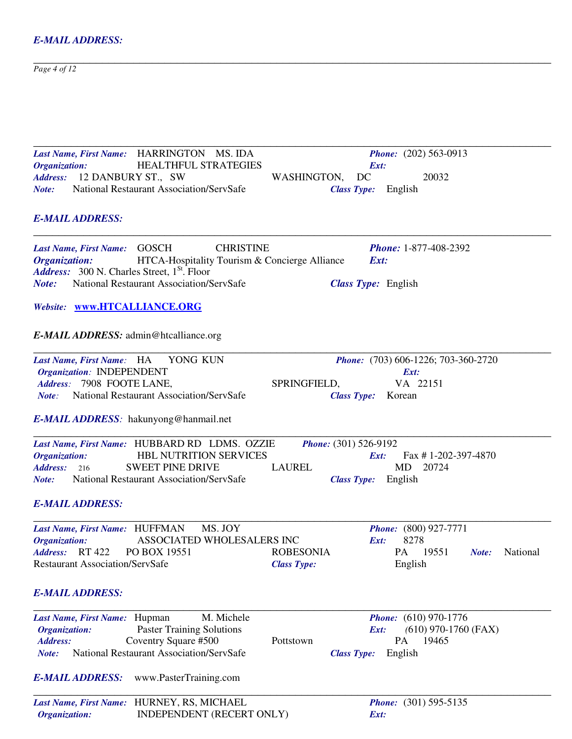$Page 4 of 12$ *Page 4 of 12* 

| Last Name, First Name: HARRINGTON MS. IDA                             | <i>Phone:</i> (202) 563-0913                      |
|-----------------------------------------------------------------------|---------------------------------------------------|
| <b>Organization:</b><br><b>HEALTHFUL STRATEGIES</b>                   | Ext:                                              |
| Address: 12 DANBURY ST., SW                                           | DC<br>20032<br>WASHINGTON,                        |
| National Restaurant Association/ServSafe<br>Note:                     | <b>Class Type:</b> English                        |
| <b>E-MAIL ADDRESS:</b>                                                |                                                   |
| <b>CHRISTINE</b><br>Last Name, First Name: GOSCH                      | <b>Phone: 1-877-408-2392</b>                      |
| HTCA-Hospitality Tourism & Concierge Alliance<br><b>Organization:</b> | Ext:                                              |
| Address: 300 N. Charles Street, 1 <sup>St</sup> . Floor               |                                                   |
| National Restaurant Association/ServSafe<br>Note:                     | <b>Class Type:</b> English                        |
| Website: www.HTCALLIANCE.ORG                                          |                                                   |
| <b>E-MAIL ADDRESS:</b> admin@htcalliance.org                          |                                                   |
| YONG KUN<br>Last Name, First Name: HA                                 | Phone: (703) 606-1226; 703-360-2720               |
| Organization: INDEPENDENT                                             | Ext:                                              |
| Address: 7908 FOOTE LANE,                                             | VA 22151<br>SPRINGFIELD,                          |
| National Restaurant Association/ServSafe<br>Note:                     | <b>Class Type:</b> Korean                         |
| <b>E-MAIL ADDRESS</b> : hakunyong@hanmail.net                         |                                                   |
| Last Name, First Name: HUBBARD RD LDMS. OZZIE                         | <i>Phone:</i> (301) 526-9192                      |
| <b>HBL NUTRITION SERVICES</b><br><b>Organization:</b>                 | Fax #1-202-397-4870<br>Ext:                       |
| <b>SWEET PINE DRIVE</b><br>Address: 216                               | <b>LAUREL</b><br>MD<br>20724                      |
| National Restaurant Association/ServSafe<br>Note:                     | <b>Class Type:</b> English                        |
| <b>E-MAIL ADDRESS:</b>                                                |                                                   |
| MS. JOY<br>Last Name, First Name: HUFFMAN                             | <b>Phone:</b> (800) 927-7771                      |
| ASSOCIATED WHOLESALERS INC<br><b>Organization:</b>                    | 8278<br>Ext:                                      |
| Address: RT 422<br>PO BOX 19551                                       | PA 19551<br><b>ROBESONIA</b><br>National<br>Note: |
| <b>Restaurant Association/ServSafe</b>                                | English<br><b>Class Type:</b>                     |
| <b>E-MAIL ADDRESS:</b>                                                |                                                   |
| M. Michele<br>Last Name, First Name: Hupman                           | <i>Phone:</i> (610) 970-1776                      |
| <b>Paster Training Solutions</b><br><b>Organization:</b>              | $(610)$ 970-1760 (FAX)<br>Ext:                    |
| Coventry Square #500<br><b>Address:</b>                               | PA<br>19465<br>Pottstown                          |
| <b>National Restaurant Association/ServSafe</b><br>Note:              | English<br><b>Class Type:</b>                     |
| <b>E-MAIL ADDRESS:</b><br>www.PasterTraining.com                      |                                                   |
| Last Name, First Name: HURNEY, RS, MICHAEL                            | <i>Phone:</i> (301) 595-5135                      |
|                                                                       |                                                   |

*Organization:* INDEPENDENT (RECERT ONLY) *Ext:*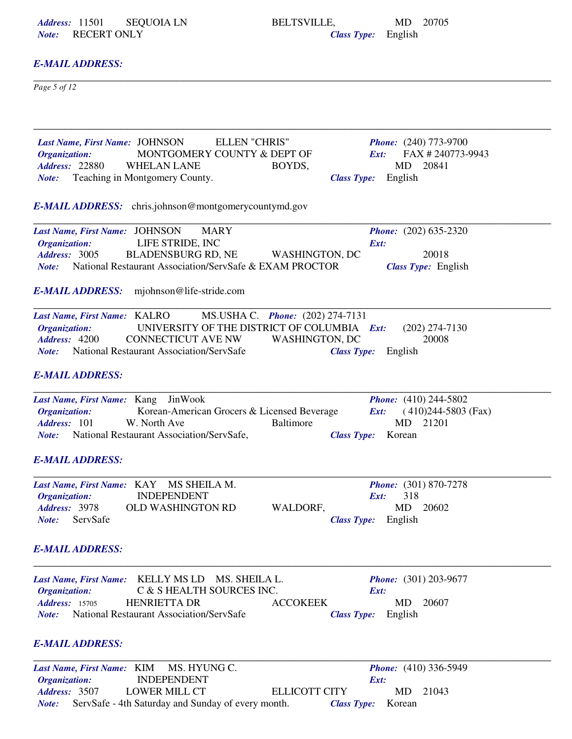*Note:* RECERT ONLY

*Address:* 11501 SEQUOIA LN BELTSVILLE, MD 20705<br> *Note:* RECERT ONLY *Class Type:* English

# *E-MAIL ADDRESS:*

 $Page 5 of 12$ *Page 5 of 12* 

| Last Name, First Name: JOHNSON<br><b>ELLEN "CHRIS"</b><br><b>Phone:</b> (240) 773-9700               |  |
|------------------------------------------------------------------------------------------------------|--|
| MONTGOMERY COUNTY & DEPT OF<br>FAX #240773-9943<br>Organization:<br>Ext:                             |  |
| <b>Address: 22880</b><br>MD<br>20841<br><b>WHELAN LANE</b><br>BOYDS,                                 |  |
| Teaching in Montgomery County.<br>English<br><b>Class Type:</b><br>Note:                             |  |
| <b>E-MAIL ADDRESS:</b> chris.johnson@montgomerycountymd.gov                                          |  |
| Last Name, First Name: JOHNSON<br><b>MARY</b><br><b>Phone:</b> (202) 635-2320                        |  |
| LIFE STRIDE, INC<br>Organization:<br>Ext:                                                            |  |
| Address: 3005<br><b>BLADENSBURG RD, NE</b><br>20018<br><b>WASHINGTON, DC</b>                         |  |
| National Restaurant Association/ServSafe & EXAM PROCTOR<br>Class Type: English<br>Note:              |  |
| mjohnson@life-stride.com<br><b>E-MAIL ADDRESS:</b>                                                   |  |
| MS.USHA C. Phone: (202) 274-7131<br>Last Name, First Name: KALRO                                     |  |
| UNIVERSITY OF THE DISTRICT OF COLUMBIA Ext:<br>Organization:<br>$(202)$ 274-7130                     |  |
| 20008<br>Address: 4200<br><b>CONNECTICUT AVE NW</b><br><b>WASHINGTON, DC</b>                         |  |
| National Restaurant Association/ServSafe<br><b>Class Type:</b><br>English<br>Note:                   |  |
| <b>E-MAIL ADDRESS:</b>                                                                               |  |
| <b>Phone:</b> (410) 244-5802<br>Last Name, First Name: Kang JinWook                                  |  |
| Korean-American Grocers & Licensed Beverage<br>$(410)244-5803$ (Fax)<br><b>Organization:</b><br>Ext: |  |
| Baltimore<br>21201<br>Address: 101<br>W. North Ave<br><b>MD</b>                                      |  |
| National Restaurant Association/ServSafe,<br><b>Class Type:</b><br>Korean<br>Note:                   |  |
| <b>E-MAIL ADDRESS:</b>                                                                               |  |
| Last Name, First Name: KAY MS SHEILA M.<br><b>Phone:</b> (301) 870-7278                              |  |
| <b>INDEPENDENT</b><br>318<br>Organization:<br>Ext:                                                   |  |
| <b>Address: 3978</b><br><b>OLD WASHINGTON RD</b><br>WALDORF,<br>MD.<br>20602                         |  |
| ServSafe<br>Class Type: English<br>Note:                                                             |  |
| <b>E-MAIL ADDRESS:</b>                                                                               |  |
| KELLY MS LD<br>MS. SHEILA L.<br><b>Phone:</b> (301) 203-9677<br><b>Last Name, First Name:</b>        |  |
| C & S HEALTH SOURCES INC.<br>Organization:<br>Ext:                                                   |  |
| <b>HENRIETTA DR</b><br><b>Address: 15705</b><br><b>ACCOKEEK</b><br>MD<br>20607                       |  |
| National Restaurant Association/ServSafe<br>English<br><b>Class Type:</b><br>Note:                   |  |
| <b>E-MAIL ADDRESS:</b>                                                                               |  |
| MS. HYUNG C.<br><i>Phone:</i> (410) 336-5949<br>Last Name, First Name: KIM                           |  |
| <b>INDEPENDENT</b><br><b>Organization:</b><br>Ext:                                                   |  |
| Address: 3507<br><b>LOWER MILL CT</b><br>21043<br><b>ELLICOTT CITY</b><br>MD                         |  |
| ServSafe - 4th Saturday and Sunday of every month.<br>Korean<br><b>Class Type:</b><br>Note:          |  |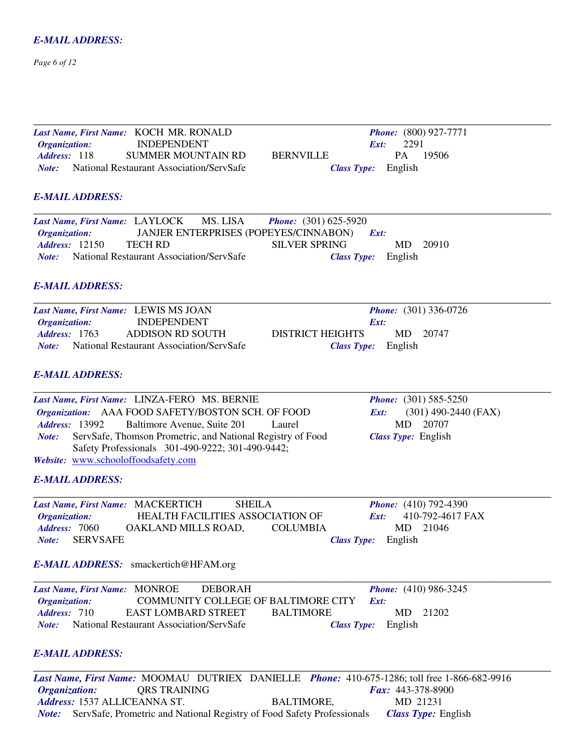### *Page 6 of 12*

| Last Name, First Name: KOCH MR. RONALD                                                                                                                                                                                             | <b>Phone:</b> (800) 927-7771                                                                                                  |
|------------------------------------------------------------------------------------------------------------------------------------------------------------------------------------------------------------------------------------|-------------------------------------------------------------------------------------------------------------------------------|
| <b>INDEPENDENT</b><br>Organization:                                                                                                                                                                                                | 2291<br>Ext:                                                                                                                  |
| Address: 118<br><b>SUMMER MOUNTAIN RD</b>                                                                                                                                                                                          | PA<br>19506<br><b>BERNVILLE</b>                                                                                               |
| <b>Note:</b> National Restaurant Association/ServSafe                                                                                                                                                                              | English<br><b>Class Type:</b>                                                                                                 |
| <b>E-MAIL ADDRESS:</b>                                                                                                                                                                                                             |                                                                                                                               |
| MS. LISA<br>Last Name, First Name: LAYLOCK<br>JANJER ENTERPRISES (POPEYES/CINNABON)<br>Organization:<br><b>Address: 12150</b><br><b>TECH RD</b><br><b>Note:</b> National Restaurant Association/ServSafe<br><b>E-MAIL ADDRESS:</b> | <b>Phone:</b> $(301) 625-5920$<br>$\boldsymbol{Ext:}$<br><b>SILVER SPRING</b><br>MD<br>20910<br>English<br><b>Class Type:</b> |
|                                                                                                                                                                                                                                    |                                                                                                                               |
| Last Name, First Name: LEWIS MS JOAN<br><b>INDEPENDENT</b>                                                                                                                                                                         | <i>Phone:</i> (301) 336-0726<br>Ext:                                                                                          |
| Organization:<br><b>Address: 1763</b><br><b>ADDISON RD SOUTH</b>                                                                                                                                                                   | <b>DISTRICT HEIGHTS</b><br>MD.<br>20747                                                                                       |
| <b>Note:</b> National Restaurant Association/ServSafe                                                                                                                                                                              | English<br><b>Class Type:</b>                                                                                                 |
|                                                                                                                                                                                                                                    |                                                                                                                               |
| <b>E-MAIL ADDRESS:</b>                                                                                                                                                                                                             |                                                                                                                               |
| Last Name, First Name: LINZA-FERO MS. BERNIE                                                                                                                                                                                       | <b>Phone:</b> (301) 585-5250                                                                                                  |
| Organization: AAA FOOD SAFETY/BOSTON SCH. OF FOOD                                                                                                                                                                                  | $(301)$ 490-2440 (FAX)<br>Ext:                                                                                                |
| <b>Address: 13992</b><br>Baltimore Avenue, Suite 201                                                                                                                                                                               | MD<br>20707<br>Laurel                                                                                                         |
| ServSafe, Thomson Prometric, and National Registry of Food<br>Note:<br>Safety Professionals 301-490-9222; 301-490-9442;                                                                                                            | Class Type: English                                                                                                           |
| Website: www.schooloffoodsafety.com                                                                                                                                                                                                |                                                                                                                               |
| <b>E-MAIL ADDRESS:</b>                                                                                                                                                                                                             |                                                                                                                               |
| <b>SHEILA</b><br>Last Name, First Name: MACKERTICH                                                                                                                                                                                 | <b>Phone:</b> (410) 792-4390                                                                                                  |
| HEALTH FACILITIES ASSOCIATION OF<br>Organization:                                                                                                                                                                                  | 410-792-4617 FAX<br>Ext:                                                                                                      |
| Address: 7060<br>OAKLAND MILLS ROAD,                                                                                                                                                                                               | 21046<br><b>COLUMBIA</b><br>MD                                                                                                |
| Note: SERVSAFE                                                                                                                                                                                                                     | Class Type: English                                                                                                           |
| <b>E-MAIL ADDRESS:</b> smackertich@HFAM.org                                                                                                                                                                                        |                                                                                                                               |
| Last Name, First Name: MONROE<br><b>DEBORAH</b>                                                                                                                                                                                    | <b>Phone:</b> (410) 986-3245                                                                                                  |
| COMMUNITY COLLEGE OF BALTIMORE CITY<br>Organization:                                                                                                                                                                               | Ext:                                                                                                                          |
| Address: 710<br><b>EAST LOMBARD STREET</b>                                                                                                                                                                                         | <b>BALTIMORE</b><br>MD<br>21202                                                                                               |
| National Restaurant Association/ServSafe<br>Note:                                                                                                                                                                                  | English<br><b>Class Type:</b>                                                                                                 |
| <b>E-MAIL ADDRESS:</b>                                                                                                                                                                                                             |                                                                                                                               |
|                                                                                                                                                                                                                                    | Last Name, First Name: MOOMAU DUTRIEX DANIELLE Phone: 410-675-1286; toll free 1-866-682-9916                                  |

*Organization:* QRS TRAINING *Fax:* 443-378-8900 Address: 1537 ALLICEANNA ST. BALTIMORE, MD 21231 *Note:* ServSafe, Prometric and National Registry of Food Safety Professionals *Class Type:* English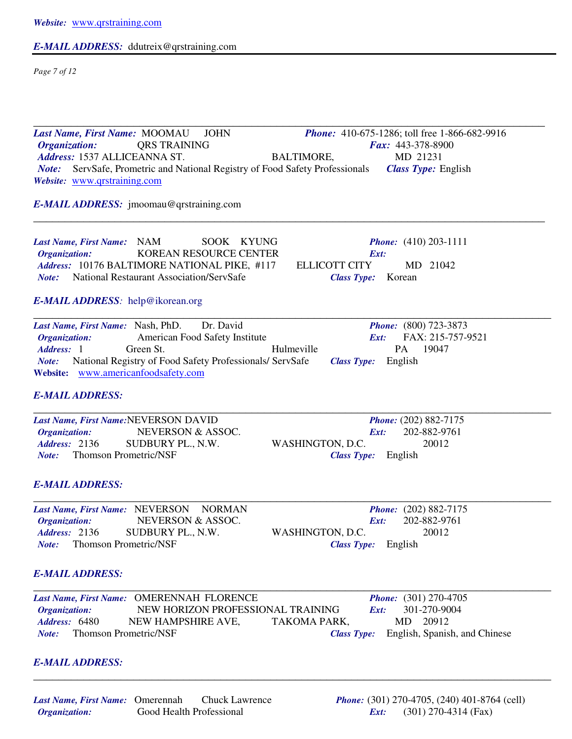# *E-MAIL ADDRESS:* ddutreix@qrstraining.com

*Page 7 of 12* 

| Last Name, First Name: MOOMAU<br><b>JOHN</b><br><i>Phone:</i> 410-675-1286; toll free 1-866-682-9916<br><b>Organization:</b><br><b>QRS TRAINING</b><br>Fax: 443-378-8900<br>Address: 1537 ALLICEANNA ST.<br><b>BALTIMORE,</b><br>MD 21231<br>ServSafe, Prometric and National Registry of Food Safety Professionals<br><b>Class Type: English</b><br>Note:<br>Website: www.qrstraining.com |
|--------------------------------------------------------------------------------------------------------------------------------------------------------------------------------------------------------------------------------------------------------------------------------------------------------------------------------------------------------------------------------------------|
| <b>E-MAIL ADDRESS:</b> jmoomau@qrstraining.com                                                                                                                                                                                                                                                                                                                                             |
| Last Name, First Name: NAM<br>SOOK KYUNG<br><i>Phone:</i> $(410) 203 - 1111$<br>KOREAN RESOURCE CENTER<br><b>Organization:</b><br>Ext:<br>Address: 10176 BALTIMORE NATIONAL PIKE, #117<br>MD 21042<br><b>ELLICOTT CITY</b><br>National Restaurant Association/ServSafe<br>Korean<br>Note:<br><b>Class Type:</b>                                                                            |
| E-MAIL ADDRESS: help@ikorean.org                                                                                                                                                                                                                                                                                                                                                           |
| Last Name, First Name: Nash, PhD.<br>Dr. David<br><b>Phone:</b> (800) 723-3873<br>FAX: 215-757-9521<br>American Food Safety Institute<br>Organization:<br>Ext:<br>Address: 1<br>Green St.<br>PA<br>19047<br>Hulmeville<br>National Registry of Food Safety Professionals/ ServSafe<br>Class Type: English<br>Note:<br>Website: www.americanfoodsafety.com<br><b>E-MAIL ADDRESS:</b>        |
| Last Name, First Name:NEVERSON DAVID<br><b>Phone:</b> (202) 882-7175<br>202-882-9761<br>Organization:<br>NEVERSON & ASSOC.<br>Ext:<br><b>Address: 2136</b><br>20012<br>SUDBURY PL., N.W.<br>WASHINGTON, D.C.<br><b>Thomson Prometric/NSF</b><br>Note:<br><b>Class Type:</b> English                                                                                                        |
| <b>E-MAIL ADDRESS:</b>                                                                                                                                                                                                                                                                                                                                                                     |
| <b>NORMAN</b><br><b>Phone:</b> (202) 882-7175<br>Last Name, First Name: NEVERSON<br>Organization:<br>NEVERSON & ASSOC.<br>202-882-9761<br>Ext:<br>Address: 2136<br>20012<br>SUDBURY PL., N.W.<br>WASHINGTON, D.C.<br><b>Thomson Prometric/NSF</b><br>English<br><b>Class Type:</b><br>Note:                                                                                                |
| <b>E-MAIL ADDRESS:</b>                                                                                                                                                                                                                                                                                                                                                                     |
| Last Name, First Name: OMERENNAH FLORENCE<br><b>Phone:</b> (301) 270-4705<br>NEW HORIZON PROFESSIONAL TRAINING<br>301-270-9004<br>Organization:<br>Ext:<br>Address: 6480<br>MD<br>20912<br>NEW HAMPSHIRE AVE,<br>TAKOMA PARK,<br><b>Thomson Prometric/NSF</b><br>English, Spanish, and Chinese<br>Note:<br><b>Class Type:</b>                                                              |
| <b>E-MAIL ADDRESS:</b>                                                                                                                                                                                                                                                                                                                                                                     |

\_\_\_\_\_\_\_\_\_\_\_\_\_\_\_\_\_\_\_\_\_\_\_\_\_\_\_\_\_\_\_\_\_\_\_\_\_\_\_\_\_\_\_\_\_\_\_\_\_\_\_\_\_\_\_\_\_\_\_\_\_\_\_\_\_\_\_\_\_\_\_\_\_\_\_\_\_\_\_\_\_\_\_

# *Last Name, First Name:* Omerennah Chuck Lawrence *Phone:* (301) 270-4705, (240) 401-8764 (cell) **Good Health Professional**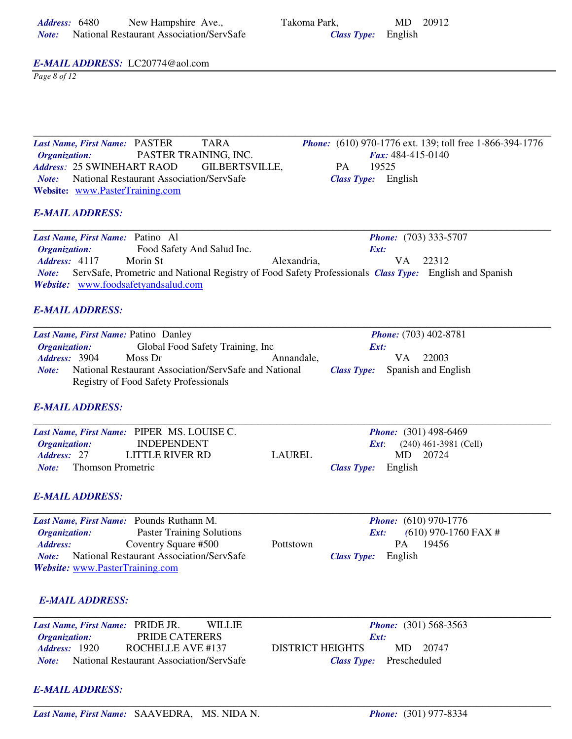| Address: 6480 | New Hampshire Ave.,                      | Takoma Park.               | MD 20912 |
|---------------|------------------------------------------|----------------------------|----------|
| Note:         | National Restaurant Association/ServSafe | <b>Class Type:</b> English |          |

**Class Type:** English

### *E-MAIL ADDRESS:* LC20774@aol.com

*Page 8 of 12* 

Last Name, First Name: PASTER TARA *Phone:* (610) 970-1776 ext. 139; toll free 1-866-394-1776<br> *Organization:* PASTER TRAINING, INC. *Fax:* 484-415-0140 *Organization:* PASTER TRAINING, INC. *Fax:* 484-415-0140 *Address:* 25 SWINEHART RAOD GILBERTSVILLE, PA 19525 *Note:* National Restaurant Association/ServSafe *Class Type:* English **Website:** www.PasterTraining.com

# *E-MAIL ADDRESS:*

\_\_\_\_\_\_\_\_\_\_\_\_\_\_\_\_\_\_\_\_\_\_\_\_\_\_\_\_\_\_\_\_\_\_\_\_\_\_\_\_\_\_\_\_\_\_\_\_\_\_\_\_\_\_\_\_\_\_\_\_\_\_\_\_\_\_\_\_\_\_\_\_\_\_\_\_\_\_\_\_\_\_\_ *Last Name, First Name:* Patino Al *Phone:* (703) 333-5707 *Organization:* Food Safety And Salud Inc. *Ext: Address:* 4117 Morin St Alexandria, VA 22312 *Note:* ServSafe, Prometric and National Registry of Food Safety Professionals *Class Type:* English and Spanish *Website:* www.foodsafetyandsalud.com

### *E-MAIL ADDRESS:*

|                             | Last Name, First Name: Patino Danley         |                                                       |      |    | <i>Phone:</i> (703) 402-8781           |  |
|-----------------------------|----------------------------------------------|-------------------------------------------------------|------|----|----------------------------------------|--|
| <i><b>Organization:</b></i> |                                              | Global Food Safety Training, Inc                      | Ext: |    |                                        |  |
| <b>Address: 3904</b>        | Moss Dr                                      | Annandale,                                            |      | VА | 22003                                  |  |
| Note:                       |                                              | National Restaurant Association/ServSafe and National |      |    | <b>Class Type:</b> Spanish and English |  |
|                             | <b>Registry of Food Safety Professionals</b> |                                                       |      |    |                                        |  |

### *E-MAIL ADDRESS:*

|                                | Last Name, First Name: PIPER MS. LOUISE C. |        | <b>Phone:</b> $(301)$ 498-6469       |
|--------------------------------|--------------------------------------------|--------|--------------------------------------|
| <i><b>Organization:</b></i>    | <b>INDEPENDENT</b>                         |        | <b>Ext</b> : $(240)$ 461-3981 (Cell) |
| <b>Address: 27</b>             | LITTLE RIVER RD                            | LAUREL | 20724<br>MD.                         |
| <i>Note:</i> Thomson Prometric |                                            |        | <b>Class Type:</b> English           |

### *E-MAIL ADDRESS:*

|                             | Last Name, First Name: Pounds Ruthann M.        |           | <b>Phone:</b> $(610)$ 970-1776 |
|-----------------------------|-------------------------------------------------|-----------|--------------------------------|
| <i><b>Organization:</b></i> | Paster Training Solutions                       |           | $(610)$ 970-1760 FAX #<br>Ext: |
| Address:                    | Coventry Square #500                            | Pottstown | 19456<br>PA.                   |
| Note:                       | <b>National Restaurant Association/ServSafe</b> |           | <b>Class Type:</b> English     |
|                             | <i>Website:</i> www.PasterTraining.com          |           |                                |

# *E-MAIL ADDRESS:*

| Last Name, First Name: PRIDE JR. | <b>WILLIE</b>                            | <b>Phone:</b> $(301)$ 568-3563      |
|----------------------------------|------------------------------------------|-------------------------------------|
| <i><b>Organization:</b></i>      | <b>PRIDE CATERERS</b>                    | Ext:                                |
| <b><i>Address:</i></b> 1920      | ROCHELLE AVE #137                        | <b>DISTRICT HEIGHTS</b><br>MD 20747 |
| Note:                            | National Restaurant Association/ServSafe | <b>Class Type:</b> Prescheduled     |

### *E-MAIL ADDRESS:*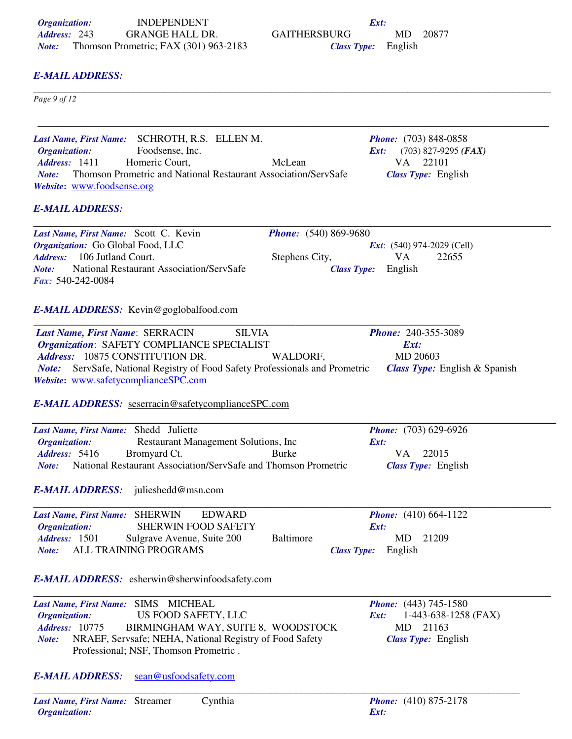# *E-MAIL ADDRESS:*

 $_{Page\,9\,of\,12}$ *Page 9 of 12* 

\_\_\_\_\_\_\_\_\_\_\_\_\_\_\_\_\_\_\_\_\_\_\_\_\_\_\_\_\_\_\_\_\_\_\_\_\_\_\_\_\_\_\_\_\_\_\_\_\_\_\_\_\_\_\_\_\_\_\_\_\_\_\_\_\_\_\_\_\_\_\_\_\_\_\_\_\_\_\_\_\_\_ *Last Name, First Name:* SCHROTH, R.S. ELLEN M. *Phone:* (703) 848-0858 *Organization:* Foodsense, Inc. *Ext:* (703) 827-9295 *(FAX)* Address: 1411 Homeric Court, McLean VA 22101 *Note:* Thomson Prometric and National Restaurant Association/ServSafe *Class Type:* English *Website***:** www.foodsense.org *E-MAIL ADDRESS: Last Name, First Name:* Scott C. Kevin *Phone:* (540) 869-9680<br> *Organization:* Go Global Food, LLC<br> *Ext:* (540) 974-2029 (Cell) *Organization:* Go Global Food, LLC *Ext*: (540) 974-2029 (Cell) Address: 106 Jutland Court. Stephens City, VA 22655 *Note:* National Restaurant Association/ServSafe *Class Type:* English *Fax:* 540-242-0084 *E-MAIL ADDRESS:* Kevin@goglobalfood.com \_\_\_\_\_\_\_\_\_\_\_\_\_\_\_\_\_\_\_\_\_\_\_\_\_\_\_\_\_\_\_\_\_\_\_\_\_\_\_\_\_\_\_\_\_\_\_\_\_\_\_\_\_\_\_\_\_\_\_\_\_\_\_\_\_\_\_\_\_\_\_\_\_\_\_\_\_\_\_\_\_\_\_ *Last Name, First Name*: SERRACIN SILVIA *Phone:* 240-355-3089 *Organization*: SAFETY COMPLIANCE SPECIALIST *Ext: Address:* 10875 CONSTITUTION DR. WALDORF, MD 20603 *Note:* ServSafe, National Registry of Food Safety Professionals and Prometric *Class Type:* English & Spanish *Website***:** www.safetycomplianceSPC.com *E-MAIL ADDRESS:* seserracin@safetycomplianceSPC.com *Last Name, First Name:* Shedd Juliette *Phone:* (703) 629-6926<br> *Organization:* Restaurant Management Solutions, Inc *Ext:* **Restaurant Management Solutions, Inc.** Address: 5416 Bromyard Ct. Burke VA 22015 *Note:* National Restaurant Association/ServSafe and Thomson Prometric *Class Type:* English *E-MAIL ADDRESS:* julieshedd@msn.com *Last Name, First Name:* SHERWIN EDWARD *Phone:* (410) 664-1122<br>*Organization:* SHERWIN FOOD SAFETY *Ext: Organization:* SHERWIN FOOD SAFETY *Ext: Address:* 1501 Sulgrave Avenue, Suite 200 Baltimore MD 21209 *Note:* ALL TRAINING PROGRAMS *Class Type:* English *E-MAIL ADDRESS:* esherwin@sherwinfoodsafety.com \_\_\_\_\_\_\_\_\_\_\_\_\_\_\_\_\_\_\_\_\_\_\_\_\_\_\_\_\_\_\_\_\_\_\_\_\_\_\_\_\_\_\_\_\_\_\_\_\_\_\_\_\_\_\_\_\_\_\_\_\_\_\_\_\_\_\_\_\_\_\_\_\_\_\_\_\_\_\_\_\_\_\_ *Last Name, First Name:* SIMS MICHEAL *Phone:* (443) 745-1580 *Organization:* US FOOD SAFETY, LLC *Ext:* 1-443-638-1258 (FAX) *Address:* 10775 BIRMINGHAM WAY, SUITE 8, WOODSTOCK MD 21163 *Note:* NRAEF, Servsafe; NEHA, National Registry of Food Safety *Class Type:* English Professional; NSF, Thomson Prometric . *E-MAIL ADDRESS:* sean@usfoodsafety.com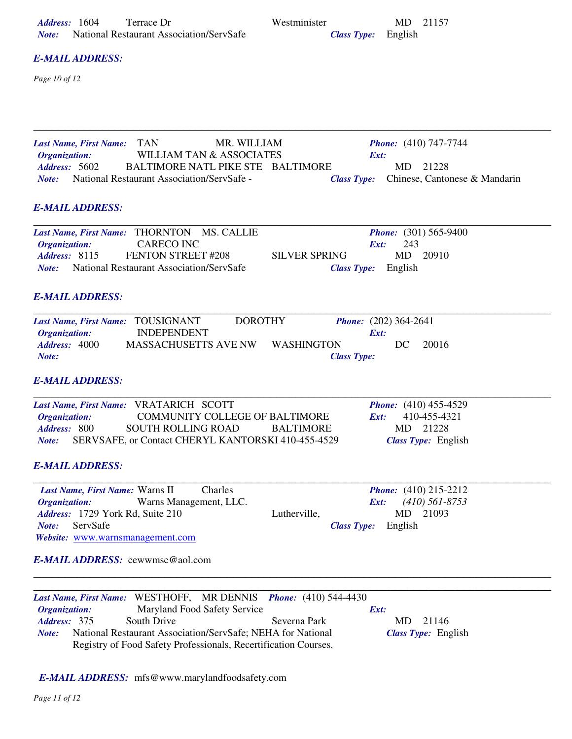| <b>E-MAIL ADDRESS:</b><br>Page 10 of 12<br><b>TAN</b><br>MR. WILLIAM<br><b>Phone:</b> $(410)$ 747-7744<br><b>Last Name, First Name:</b><br><b>WILLIAM TAN &amp; ASSOCIATES</b><br>Organization:<br>Ext:<br>Address: 5602<br><b>BALTIMORE NATL PIKE STE</b><br>21228<br>BALTIMORE<br>MD<br>National Restaurant Association/ServSafe -<br>Chinese, Cantonese & Mandarin<br>Note:<br><b>Class Type:</b><br><b>E-MAIL ADDRESS:</b><br>Last Name, First Name: THORNTON<br><b>MS. CALLIE</b><br><i>Phone:</i> (301) 565-9400<br><b>CARECO INC</b><br>243<br>Organization:<br>Ext:<br>FENTON STREET #208<br>Address: 8115<br><b>SILVER SPRING</b><br>MD<br>20910<br><b>National Restaurant Association/ServSafe</b><br>English<br>Note:<br><b>Class Type:</b><br><b>E-MAIL ADDRESS:</b><br>Last Name, First Name: TOUSIGNANT<br><b>DOROTHY</b><br><b>Phone:</b> (202) 364-2641<br><b>INDEPENDENT</b><br>Organization:<br>Ext:<br>Address: 4000<br><b>MASSACHUSETTS AVE NW</b><br><b>WASHINGTON</b><br>20016<br>DC<br>Note:<br><b>Class Type:</b> |
|-------------------------------------------------------------------------------------------------------------------------------------------------------------------------------------------------------------------------------------------------------------------------------------------------------------------------------------------------------------------------------------------------------------------------------------------------------------------------------------------------------------------------------------------------------------------------------------------------------------------------------------------------------------------------------------------------------------------------------------------------------------------------------------------------------------------------------------------------------------------------------------------------------------------------------------------------------------------------------------------------------------------------------------------|
|                                                                                                                                                                                                                                                                                                                                                                                                                                                                                                                                                                                                                                                                                                                                                                                                                                                                                                                                                                                                                                           |
|                                                                                                                                                                                                                                                                                                                                                                                                                                                                                                                                                                                                                                                                                                                                                                                                                                                                                                                                                                                                                                           |
|                                                                                                                                                                                                                                                                                                                                                                                                                                                                                                                                                                                                                                                                                                                                                                                                                                                                                                                                                                                                                                           |
|                                                                                                                                                                                                                                                                                                                                                                                                                                                                                                                                                                                                                                                                                                                                                                                                                                                                                                                                                                                                                                           |
|                                                                                                                                                                                                                                                                                                                                                                                                                                                                                                                                                                                                                                                                                                                                                                                                                                                                                                                                                                                                                                           |
|                                                                                                                                                                                                                                                                                                                                                                                                                                                                                                                                                                                                                                                                                                                                                                                                                                                                                                                                                                                                                                           |
|                                                                                                                                                                                                                                                                                                                                                                                                                                                                                                                                                                                                                                                                                                                                                                                                                                                                                                                                                                                                                                           |
|                                                                                                                                                                                                                                                                                                                                                                                                                                                                                                                                                                                                                                                                                                                                                                                                                                                                                                                                                                                                                                           |
| <b>E-MAIL ADDRESS:</b>                                                                                                                                                                                                                                                                                                                                                                                                                                                                                                                                                                                                                                                                                                                                                                                                                                                                                                                                                                                                                    |
| Last Name, First Name: VRATARICH SCOTT<br><i>Phone:</i> $(410) 455-4529$<br>410-455-4321<br>Organization:<br><b>COMMUNITY COLLEGE OF BALTIMORE</b><br>Ext:<br>Address: 800<br><b>SOUTH ROLLING ROAD</b><br><b>BALTIMORE</b><br>MD<br>21228<br>Note:<br>SERVSAFE, or Contact CHERYL KANTORSKI 410-455-4529<br><b>Class Type:</b> English                                                                                                                                                                                                                                                                                                                                                                                                                                                                                                                                                                                                                                                                                                   |
| <b>E-MAIL ADDRESS:</b>                                                                                                                                                                                                                                                                                                                                                                                                                                                                                                                                                                                                                                                                                                                                                                                                                                                                                                                                                                                                                    |
| Last Name, First Name: Warns II<br>Charles<br><i>Phone:</i> $(410)$ 215-2212<br>Warns Management, LLC.<br>$(410)$ 561-8753<br><b>Organization:</b><br>Ext:<br>21093<br>Address: 1729 York Rd, Suite 210<br>Lutherville,<br>MD<br>ServSafe<br>English<br>Note:<br><b>Class Type:</b>                                                                                                                                                                                                                                                                                                                                                                                                                                                                                                                                                                                                                                                                                                                                                       |
| Website: www.warnsmanagement.com<br><b>E-MAIL ADDRESS:</b> cewwmsc@aol.com                                                                                                                                                                                                                                                                                                                                                                                                                                                                                                                                                                                                                                                                                                                                                                                                                                                                                                                                                                |
|                                                                                                                                                                                                                                                                                                                                                                                                                                                                                                                                                                                                                                                                                                                                                                                                                                                                                                                                                                                                                                           |
| Last Name, First Name: WESTHOFF, MR DENNIS<br><b>Phone:</b> $(410)$ 544-4430<br>Maryland Food Safety Service<br>Organization:<br>Ext:                                                                                                                                                                                                                                                                                                                                                                                                                                                                                                                                                                                                                                                                                                                                                                                                                                                                                                     |
| South Drive<br>Address: 375<br>Severna Park<br>MD<br>21146<br>National Restaurant Association/ServSafe; NEHA for National<br>Class Type: English<br>Note:<br>Registry of Food Safety Professionals, Recertification Courses.                                                                                                                                                                                                                                                                                                                                                                                                                                                                                                                                                                                                                                                                                                                                                                                                              |
| E-MAIL ADDRESS: mfs@www.marylandfoodsafety.com                                                                                                                                                                                                                                                                                                                                                                                                                                                                                                                                                                                                                                                                                                                                                                                                                                                                                                                                                                                            |